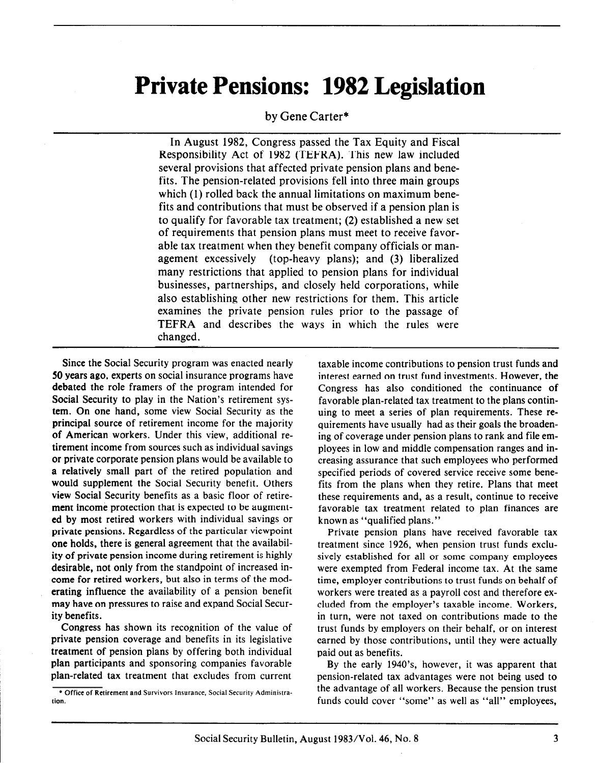# Private Pensions: 1982 Legislation

#### by Gene Carter\*

In August 1982, Congress passed the Tax Equity and Fiscal Responsibility Act of 1982 (TEFRA). This new law included several provisions that affected private pension plans and benefits. The pension-related provisions fell into three main groups which (1) rolled back the annual limitations on maximum benefits and contributions that must be observed if a pension plan is to qualify for favorable tax treatment; (2) established a new set of requirements that pension plans must meet to receive favorable tax treatment when they benefit company officials or management excessively (top-heavy plans); and (3) liberalized many restrictions that applied to pension plans for individual businesses, partnerships, and closely held corporations, while also establishing other new restrictions for them. This article examines the private pension rules prior to the passage of TEFRA and describes the ways in which the rules were changed.

Since the Social Security program was enacted nearly 50 years ago, experts on social insurance programs have debated the role framers of the program intended for Social Security to play in the Nation's retirement system. On one hand, some view Social Security as the principal source of retirement income for the majority of American workers. Under this view, additional retirement income from sources such as individual savings or private corporate pension plans would be available to a relatively small part of the retired population and would supplement the Social Security benefit. Others view Social Security benefits as a basic floor of retirement income protection that is expected to be augmented by most retired workers with individual savings or private pensions. Regardless of the particular viewpoint one holds, there is general agreement that the availability of private pension income during retirement is highly desirable, not only from the standpoint of increased income for retired workers, but also in terms of the moderating influence the availability of a pension benefit may have on pressures to raise and expand Social Security benefits.

Congress has shown its recognition of the value of private pension coverage and benefits in its legislative treatment of pension plans by offering both individual plan participants and sponsoring companies favorable plan-related tax treatment that excludes from current taxable income contributions to pension trust funds and interest earned on trust fund investments. However, the Congress has also conditioned the continuance of favorable plan-related tax treatment to the plans continuing to meet a series of plan requirements. These requirements have usually had as their goals the broadening of coverage under pension plans to rank and file employees in low and middle compensation ranges and increasing assurance that such employees who performed specified periods of covered service receive some benefits from the plans when they retire. Plans that meet these requirements and, as a result, continue to receive favorable tax treatment related to plan finances are known as "qualified plans."

Private pension plans have received favorable tax treatment since 1926, when pension trust funds exclusively established for all or some company employees were exempted from Federal income tax. At the same time, employer contributions to trust funds on behalf of workers were treated as a payroll cost and therefore excluded from the employer's taxable income. Workers, in turn, were not taxed on contributions made to the trust funds by employers on their behalf, or on interest earned by those contributions, until they were actually paid out as benefits.

By the early 1940's, however, it was apparent that pension-related tax advantages were not being used to the advantage of all workers. Because the pension trust funds could cover "some" as well as "all" employees,

<sup>&</sup>lt;sup>•</sup> Office of Retirement and Survivors Insurance, Social Security Administration.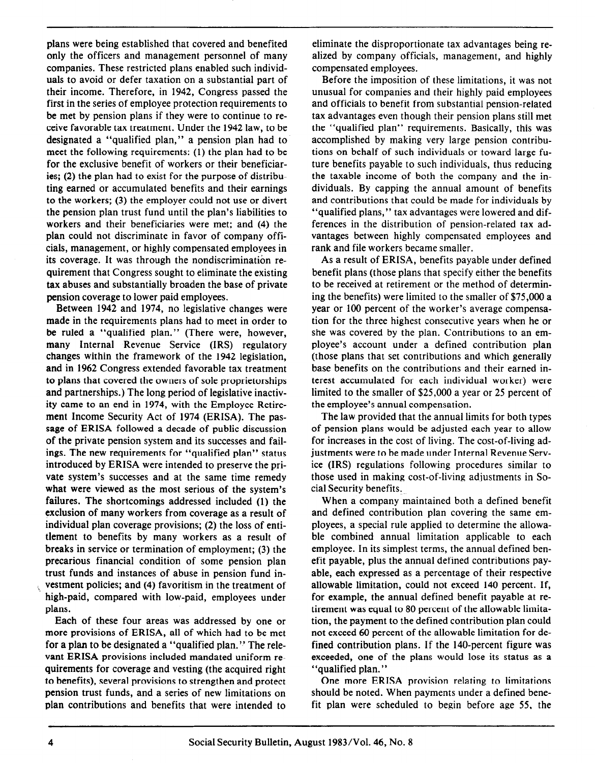plans were being established that covered and benefited only the officers and management personnel of many companies. These restricted plans enabled such individuals to avoid or defer taxation on a substantial part of their income. Therefore, in 1942, Congress passed the first in the series of employee protection requirements to be met by pension plans if they were to continue to receive favorable tax treatment. Under the 1942 law, to be designated a "qualified plan," a pension plan had to meet the following requirements: (1) the plan had to be for the exclusive benefit of workers or their beneficiaries; (2) the plan had to exist for the purpose of distributing earned or accumulated benefits and their earnings to the workers; (3) the employer could not use or divert the pension plan trust fund until the plan's liabilities to workers and their beneficiaries were met; and (4) the plan could not discriminate in favor of company officials, management, or highly compensated employees in its coverage. It was through the nondiscrimination requirement that Congress sought to eliminate the existing tax abuses and substantially broaden the base of private pension coverage to lower paid employees.

Between 1942 and 1974, no legislative changes were made in the requirements plans had to meet in order to be ruled a "qualified plan." (There were, however, many Internal Revenue Service (IRS) regulatory changes within the framework of the 1942 legislation, and in 1962 Congress extended favorable tax treatment to plans that covered the owners of sole proprietorships and partnerships.) The long period of legislative inactivity came to an end in 1974, with the Employee Retirement Income Security Act of 1974 (ERISA). The passage of ERISA followed a decade of public discussion of the private pension system and its successes and failings. The new requirements for "qualified plan" status introduced by ERISA were intended to preserve the private system's successes and at the same time remedy what were viewed as the most serious of the system's failures. The shortcomings addressed included (1) the exclusion of many workers from coverage as a result of individual plan coverage provisions; (2) the loss of entitlement to benefits by many workers as a result of breaks in service or termination of employment; (3) the precarious financial condition of some pension plan trust funds and instances of abuse in pension fund in vestment policies; and (4) favoritism in the treatment of high-paid, compared with low-paid, employees under plans.

Each of these four areas was addressed by one or more provisions of ERISA, all of which had to be met for a plan to be designated a "qualified plan." The relevant ERISA provisions included mandated uniform requirements for coverage and vesting (the acquired right to benefits), several provisions to strengthen and protect pension trust funds, and a series of new limitations on plan contributions and benefits that were intended to

eliminate the disproportionate tax advantages being realized by company officials, management, and highly compensated employees.

Before the imposition of these limitations, it was not unusual for companies and their highly paid employees and officials to benefit from substantial pension-related tax advantages even though their pension plans still met the "qualified plan" requirements. Basically, this was accomplished by making very large pension contributions on behalf of such individuals or toward large future benefits payable to such individuals, thus reducing the taxable income of both the company and the individuals. By capping the annual amount of benefits and contributions that could be made for individuals by "qualified plans," tax advantages were lowered and differences in the distribution of pension-related tax advantages between highly compensated employees and rank and file workers became smaller.

As a result of ERISA, benefits payable under defined benefit plans (those plans that specify either the benefits to be received at retirement or the method of determining the benefits) were limited to the smaller of \$75,000 a year or 100 percent of the worker's average compensation for the three highest consecutive years when he or she was covered by the plan. Contributions to an employee's account under a defined contribution plan (those plans that set contributions and which generally base benefits on the contributions and their earned interest accumulated for each individual worker) were limited to the smaller of \$25,000 a year or 25 percent of the employee's annual compensation.

The law provided that the annual limits for both types of pension plans would be adjusted each year to allow for increases in the cost of living. The cost-of-living adjustments were to be made under Internal Revenue Service (IRS) regulations following procedures similar to those used in making cost-of-living adjustments in Social Security benefits.

When a company maintained both a defined benefit and defined contribution plan covering the same employees, a special rule applied to determine the allowable combined annual limitation applicable to each employee. In its simplest terms, the annual defined benefit payable, plus the annual defined contributions payable, each expressed as a percentage of their respective allowable limitation, could not exceed 140 percent. If, for example, the annual defined benefit payable at retirement was equal to 80 percent of the allowable limitation, the payment to the defined contribution plan could not exceed 60 percent of the allowable limitation for defined contribution plans. If the 140-percent figure was exceeded, one of the plans would lose its status as a "qualified plan. "

One more ERISA provision relating to limitations should be noted. When payments under a defined benefit plan were scheduled to begin before age 55, the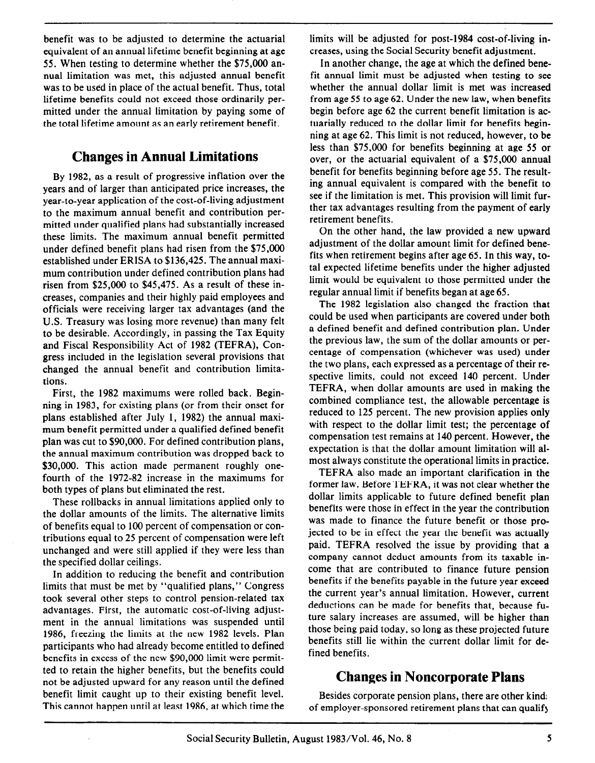benefit was to be adjusted to determine the actuarial equivalent of an annual lifetime benefit beginning at age 55. When testing to determine whether the \$75,000 annual limitation was met, this adjusted annual benefit was to be used in place of the actual benefit. Thus, total lifetime benefits could not exceed those ordinarily permitted under the annual limitation by paying some of the total lifetime amount as an early retirement benefit.

# Changes in Annual Limitations

By 1982, as a result of progressive inflation over the years and of larger than anticipated price increases, the year-to-year application of the cost-of-living adjustment to the maximum annual benefit and contribution permitted under qualified plans had substantially increased these limits. The maximum annual benefit permitted under defined benefit plans had risen from the \$75,000 established under ERISA to \$136,425. The annual maximum contribution under defined contribution plans had risen from \$25,000 to \$45,475. As a result of these increases, companies and their highly paid employees and officials were receiving larger tax advantages (and the U.S. Treasury was losing more revenue) than many felt to be desirable. Accordingly, in passing the Tax Equity and Fiscal Responsibility Act of 1982 (TEFRA), Congress included in the legislation several provisions that changed the annual benefit and contribution limitations.

First, the 1982 maximums were rolled back. Beginning in 1983, for existing plans (or from their onset for plans established after July 1, 1982) the annual maximum benefit permitted under a qualified defined benefit plan was cut to \$90,000. For defined contribution plans, the annual maximum contribution was dropped back to \$30,000. This action made permanent roughly onefourth of the 1972-82 increase in the maximums for both types of plans but eliminated the rest.

These rollbacks in annual limitations applied only to the dollar amounts of the limits. The alternative limits of benefits equal to 100 percent of compensation or contributions equal to 25 percent of compensation were left unchanged and were still applied if they were less than the specified dollar ceilings.

In addition to reducing the benefit and contribution limits that must be met by "qualified plans," Congress took several other steps to control pension-related tax advantages. First, the automatic cost-of-living adjustment in the annual limitations was suspended until 1986, freezing the limits at the new 1982 levels. Plan participants who had already become entitled to defined benefits in excess of the new \$90,000 limit were permitted to retain the higher benefits, but the benefits could not be adjusted upward for any reason until the defined benefit limit caught up to their existing benefit level. This cannot happen until at least 1986, at which time the limits will be adjusted for post-1984 cost-of-living increases, using the Social Security benefit adjustment.

In another change, the age at which the defined benefit annual limit must be adjusted when testing to see whether the annual dollar limit is met was increased from age 55 to age 62. Under the new law, when benefits begin before age 62 the current benefit limitation is actuarially reduced to the dollar limit for benefits beginning at age 62. This limit is not reduced, however, to be less than \$75,000 for benefits beginning at age 55 or over, or the actuarial equivalent of a \$75,000 annual benefit for benefits beginning before age 55. The resulting annual equivalent is compared with the benefit to see if the limitation is met. This provision will limit further tax advantages resulting from the payment of early retirement benefits.

On the other hand, the law provided a new upward adjustment of the dollar amount limit for defined benefits when retirement begins after age 65. In this way, total expected lifetime benefits under the higher adjusted limit would be equivalent to those permitted under the regular annual limit if benefits began at age 65.

The 1982 legislation also changed the fraction that could be used when participants are covered under both a defined benefit and defined contribution plan. Under the previous law, the sum of the dollar amounts or percentage of compensation (whichever was used) under the two plans, each expressed as a percentage of their respective limits, could not exceed 140 percent. Under TEFRA, when dollar amounts are used in making the combined compliance test, the allowable percentage is reduced to 125 percent. The new provision applies only with respect to the dollar limit test; the percentage of compensation test remains at 140 percent. However, the expectation is that the dollar amount limitation will almost always constitute the operational limits in practice.

TEFRA also made an important clarification in the former law. Before TEFRA, it was not clear whether the dollar limits applicable to future defined benefit plan benefits were those in effect in the year the contribution was made to finance the future benefit or those projected to be in effect the year the benefit was actually paid. TEFRA resolved the issue by providing that a company cannot deduct amounts from its taxable income that are contributed to finance future pension benefits if the benefits payable in the future year exceed the current year's annual limitation. However, current deductions can be made for benefits that, because future salary increases are assumed, will be higher than those being paid today, so long as these projected future benefits still lie within the current dollar limit for defined benefits.

# Changes in Noncorporate Plans

Besides corporate pension plans, there are other kind: of employer-sponsored retirement plans that can qualify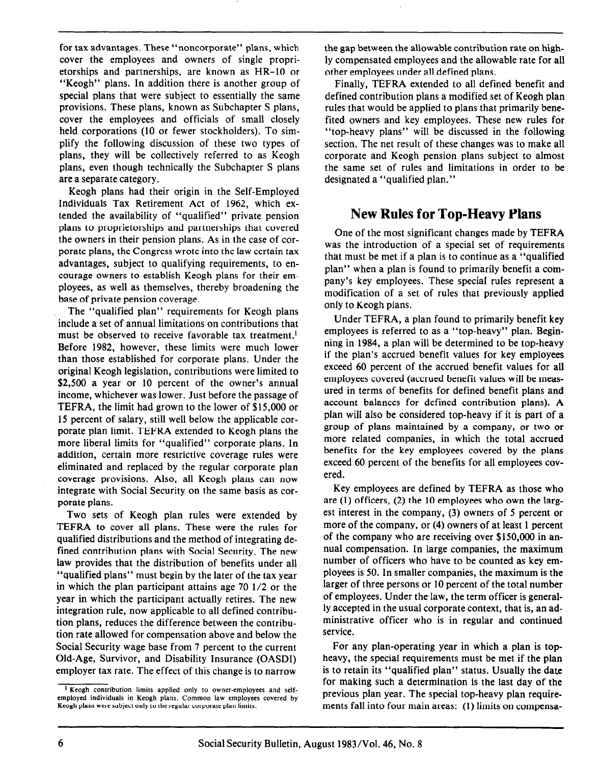for tax advantages. These "noncorporate" plans, which cover the employees and owners of single proprietorships and partnerships, are known as HR-10 or "Keogh" plans. In addition there is another group of special plans that were subject to essentially the same provisions. These plans, known as Subchapter S plans, cover the employees and officials of small closely held corporations (10 or fewer stockholders). To simplify the following discussion of these two types of plans, they will be collectively referred to as Keogh plans, even though technically the Subchapter S plans are a separate category.

Keogh plans had their origin in the Self-Employed Individuals Tax Retirement Act of 1962, which extended the availability of "qualified" private pension plans to proprietorships and partnerships that covered the owners in their pension plans. As in the case of corporate plans, the Congress wrote into the law certain tax advantages, subject to qualifying requirements, to encourage owners to establish Keogh plans for their employees, as well as themselves, thereby broadening the base of private pension coverage.

The "qualified plan" requirements for Keogh plans include a set of annual limitations on contributions that must be observed to receive favorable tax treatment.<sup>1</sup> Before 1982, however, these limits were much lower than those established for corporate plans. Under the original Keogh legislation, contributions were limited to \$2,500 a year or 10 percent of the owner's annual income, whichever was lower. Just before the passage of TEFRA, the limit had grown to the lower of \$15,000 or 15 percent of salary, still well below the applicable corporate plan limit. TEFRA extended to Keogh plans the more liberal limits for "qualified" corporate plans. In addition, certain more restrictive coverage rules were eliminated and replaced by the regular corporate plan coverage provisions. Also, all Keogh plans can now integrate with Social Security on the same basis as corporate plans.

Two sets of Keogh plan rules were extended by TEFRA to cover all plans. These were the rules for qualified distributions and the method of integrating defined contribution plans with Social Security. The new law provides that the distribution of benefits under all "qualified plans" must begin by the later of the tax year in which the plan participant attains age 70 l/2 or the year in which the participant actually retires. The new integration rule, now applicable to all defined contribution plans, reduces the difference between the contribution rate allowed for compensation above and below the Social Security wage base from 7 percent to the current Old-Age, Survivor, and Disability Insurance (OASDI) employer tax rate. The effect of this change is to narrow

the gap between the allowable contribution rate on highly compensated employees and the allowable rate for all other employees under all defined plans.

Finally, TEFRA extended to all defined benefit and defined contribution plans a modified set of Keogh plan rules that would be applied to plans that primarily benefited owners and key employees. These new rules for "top-heavy plans" will be discussed in the following section, The net result of these changes was to make all corporate and Keogh pension plans subject to almost the same set of rules and limitations in order to be designated a "qualified plan."

# New Rules for Top-Heavy Plans

One of the most significant changes made by TEFRA was the introduction of a special set of requirements that must be met if a plan is to continue as a "qualified plan" when a plan is found to primarily benefit a company's key employees. These special rules represent a modification of a set of rules that previously applied only to Keogh plans.

Under TEFRA, a plan found to primarily benefit key employees is referred to as a "top-heavy" plan. Beginning in 1984, a plan will be determined to be top-heavy if the plan's accrued benefit values for key employees exceed 60 percent of the accrued benefit values for all employees covered (accrued benefit values will be measured in terms of benefits for defined benefit plans and account balances for defined contribution plans). A plan will also be considered top-heavy if it is part of a group of plans maintained by a company, or two or more related companies, in which the total accrued benefits for the key employees covered by the plans exceed 60 percent of the benefits for all employees covered.

Key employees are defined by TEFRA as those who are (1) officers, (2) the 10 employees who own the largest interest in the company, (3) owners of 5 percent or more of the company, or (4) owners of at least 1 percent of the company who are receiving over \$150,000 in annual compensation. In large companies, the maximum number of officers who have to be counted as key employees is 50. In smaller companies, the maximum is the larger of three persons or 10 percent of the total number of employees. Under the law, the term officer is generally accepted in the usual corporate context, that is, an administrative officer who is in regular and continued service.

For any plan-operating year in which a plan is topheavy, the special requirements must be met if the plan is to retain its "qualified plan" status. Usually the date for making such a determination is the last day of the previous plan year. The special top-heavy plan requirements fall into four main areas: (1) limits on compensa-

 $1$  Keogh contribution limits applied only to owner-employees and selfemployed individuals in Keogh plans. Common law employees covered by Keogh plans were subject only to the regular corporate plan limits.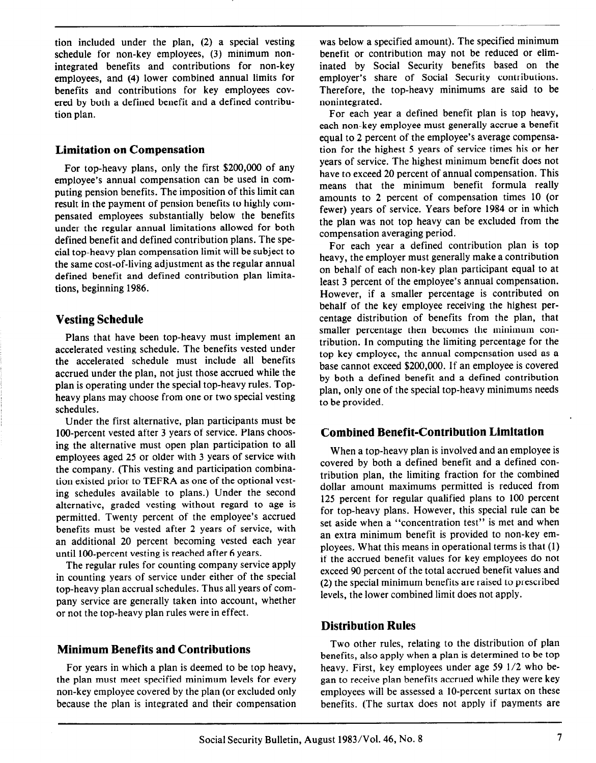tion included under the plan, (2) a special vesting schedule for non-key employees, (3) minimum nonintegrated benefits and contributions for non-key employees, and (4) lower combined annual limits for benefits and contributions for key employees covered by both a defined benefit and a defined contribution plan.

#### Limitation on Compensation

For top-heavy plans, only the first \$200,000 of any employee's annual compensation can be used in computing pension benefits. The imposition of this limit can result in the payment of pension benefits to highly compensated employees substantially below the benefits under the regular annual limitations allowed for both defined benefit and defined contribution plans. The special top-heavy plan compensation limit will be subject to the same cost-of-living adjustment as the regular annual defined benefit and defined contribution plan limitations, beginning 1986.

#### Vesting Schedule

Plans that have been top-heavy must implement an accelerated vesting schedule. The benefits vested under the accelerated schedule must include all benefits accrued under the plan, not just those accrued while the plan is operating under the special top-heavy rules. Topheavy plans may choose from one or two special vesting schedules.

Under the first alternative, plan participants must be lOO-percent vested after 3 years of service. Plans choosing the alternative must open plan participation to all employees aged 25 or older with 3 years of service with the company. (This vesting and participation combination existed prior to TEFRA as one of the optional vesting schedules available to plans.) Under the second alternative, graded vesting without regard to age is permitted. Twenty percent of the employee's accrued benefits must be vested after 2 years of service, with an additional 20 percent becoming vested each year until lOO-percent vesting is reached after 6 years.

The regular rules for counting company service apply in counting years of service under either of the special top-heavy plan accrual schedules. Thus all years of company service are generally taken into account, whether or not the top-heavy plan rules were in effect.

# Minimum Benefits and Contributions

For years in which a plan is deemed to be top heavy, the plan must meet specified minimum levels for every non-key employee covered by the plan (or excluded only because the plan is integrated and their compensation

was below a specified amount). The specified minimum benefit or contribution may not be reduced or eliminated by Social Security benefits based on the employer's share of Social Security contributions. Therefore, the top-heavy minimums are said to be nonintegrated.

For each year a defined benefit plan is top heavy, each non-key employee must generally accrue a benefit equal to 2 percent of the employee's average compensation for the highest 5 years of service times his or her years of service. The highest minimum benefit does not have to exceed 20 percent of annual compensation. This means that the minimum benefit formula really amounts to 2 percent of compensation times 10 (or fewer) years of service. Years before 1984 or in which the plan was not top heavy can be excluded from the compensation averaging period.

For each year a defined contribution plan is top heavy, the employer must generally make a contribution on behalf of each non-key plan participant equal to at least 3 percent of the employee's annual compensation. However, if a smaller percentage is contributed on behalf of the key employee receiving the highest percentage distribution of benefits from the plan, that smaller percentage then becomes the minimum contribution. In computing the limiting percentage for the top key employee, the annual compensation used as a base cannot exceed \$200,000. If an employee is covered by both a defined benefit and a defined contribution plan, only one of the special top-heavy minimums needs to be provided.

#### Combined Benefit-Contribution Limitation

When a top-heavy plan is involved and an employee is covered by both a defined benefit and a defined contribution plan, the limiting fraction for the combined dollar amount maximums permitted is reduced from 125 percent for regular qualified plans to 100 percent for top-heavy plans. However, this special rule can be set aside when a "concentration test" is met and when an extra minimum benefit is provided to non-key employees. What this means in operational terms is that (1) if the accrued benefit values for key employees do not exceed 90 percent of the total accrued benefit values and (2) the special minimum benefits are raised to prescribed levels, the lower combined limit does not apply.

# Distribution Rules

Two other rules, relating to the distribution of plan benefits, also apply when a plan is determined to be top heavy. First, key employees under age 59 l/2 who began to receive plan benefits accrued while they were key employees will be assessed a 10-percent surtax on these benefits. (The surtax does not apply if payments are